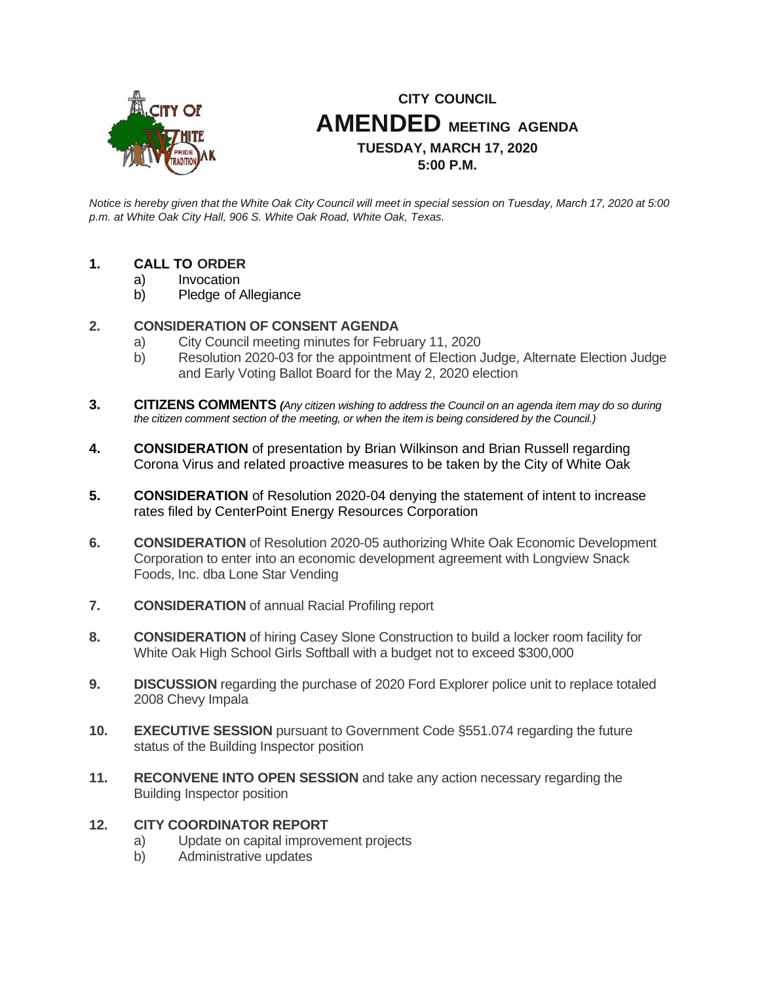

# **CITY COUNCIL AMENDED MEETING AGENDA TUESDAY, MARCH 17, 2020 5:00 P.M.**

*Notice is hereby given that the White Oak City Council will meet in special session on Tuesday, March 17, 2020 at 5:00 p.m. at White Oak City Hall, 906 S. White Oak Road, White Oak, Texas.*

## **1. CALL TO ORDER**

- a) Invocation
- b) Pledge of Allegiance

## **2. CONSIDERATION OF CONSENT AGENDA**

- a) City Council meeting minutes for February 11, 2020
- b) Resolution 2020-03 for the appointment of Election Judge, Alternate Election Judge and Early Voting Ballot Board for the May 2, 2020 election
- **3. CITIZENS COMMENTS** *(Any citizen wishing to address the Council on an agenda item may do so during the citizen comment section of the meeting, or when the item is being considered by the Council.)*
- **4. CONSIDERATION** of presentation by Brian Wilkinson and Brian Russell regarding Corona Virus and related proactive measures to be taken by the City of White Oak
- **5. CONSIDERATION** of Resolution 2020-04 denying the statement of intent to increase rates filed by CenterPoint Energy Resources Corporation
- **6. CONSIDERATION** of Resolution 2020-05 authorizing White Oak Economic Development Corporation to enter into an economic development agreement with Longview Snack Foods, Inc. dba Lone Star Vending
- **7. CONSIDERATION** of annual Racial Profiling report
- **8. CONSIDERATION** of hiring Casey Slone Construction to build a locker room facility for White Oak High School Girls Softball with a budget not to exceed \$300,000
- **9. DISCUSSION** regarding the purchase of 2020 Ford Explorer police unit to replace totaled 2008 Chevy Impala
- **10. EXECUTIVE SESSION** pursuant to Government Code §551.074 regarding the future status of the Building Inspector position
- **11. RECONVENE INTO OPEN SESSION** and take any action necessary regarding the Building Inspector position

### **12. CITY COORDINATOR REPORT**

- a) Update on capital improvement projects
- b) Administrative updates